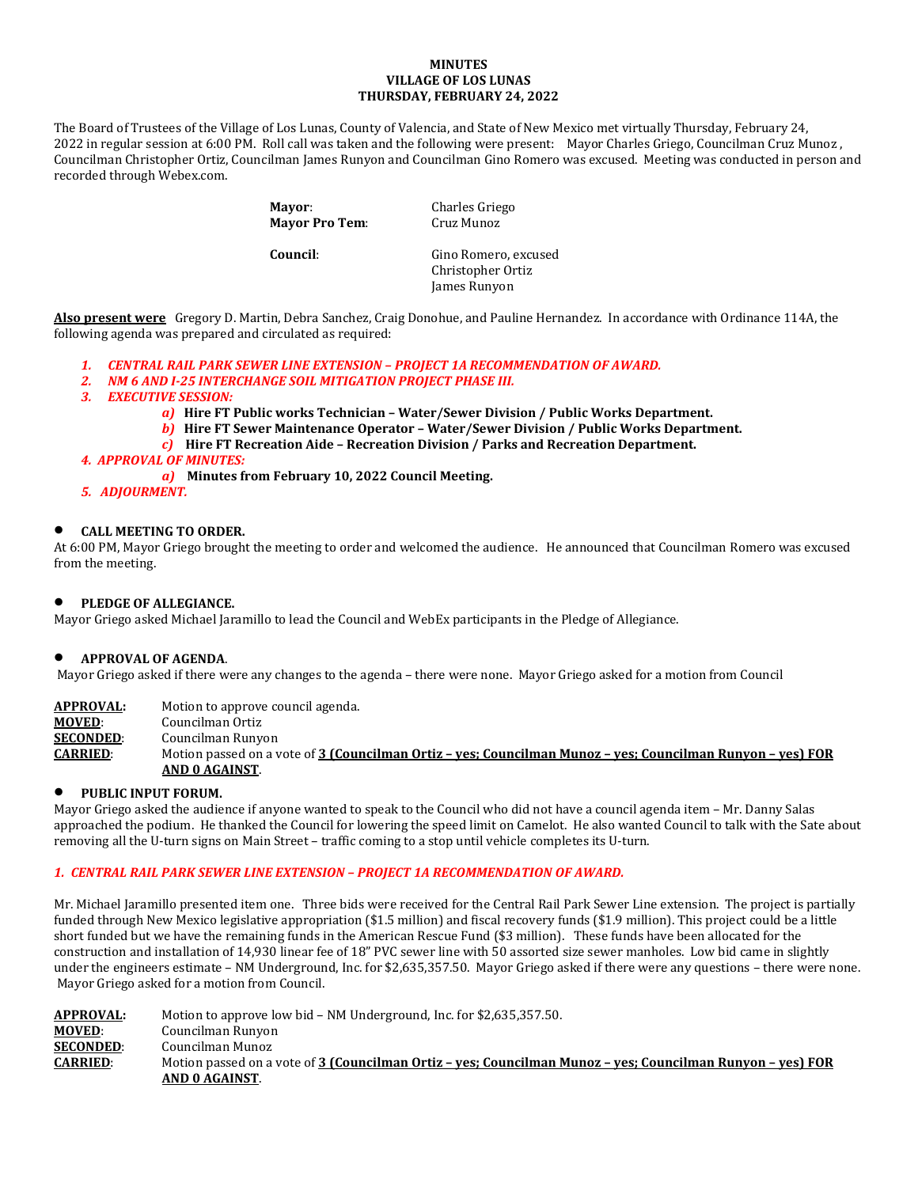#### **MINUTES VILLAGE OF LOS LUNAS THURSDAY, FEBRUARY 24, 2022**

The Board of Trustees of the Village of Los Lunas, County of Valencia, and State of New Mexico met virtually Thursday, February 24, 2022 in regular session at 6:00 PM. Roll call was taken and the following were present: Mayor Charles Griego, Councilman Cruz Munoz , Councilman Christopher Ortiz, Councilman James Runyon and Councilman Gino Romero was excused. Meeting was conducted in person and recorded through Webex.com.

> **Mayor:** Charles Griego<br> **Mayor Pro Tem:** Cruz Munoz **Mayor Pro Tem:**

**Council:** Gino Romero, excused Christopher Ortiz James Runyon

**Also present were** Gregory D. Martin, Debra Sanchez, Craig Donohue, and Pauline Hernandez. In accordance with Ordinance 114A, the following agenda was prepared and circulated as required:

- *1. CENTRAL RAIL PARK SEWER LINE EXTENSION PROJECT 1A RECOMMENDATION OF AWARD.*
- *2. NM 6 AND I-25 INTERCHANGE SOIL MITIGATION PROJECT PHASE III.*
- *3. EXECUTIVE SESSION:*
	- *a)* **Hire FT Public works Technician Water/Sewer Division / Public Works Department.**
	- *b)* **Hire FT Sewer Maintenance Operator Water/Sewer Division / Public Works Department.**
	- *c)* **Hire FT Recreation Aide Recreation Division / Parks and Recreation Department.**

## *4. APPROVAL OF MINUTES:*

- *a)* **Minutes from February 10, 2022 Council Meeting.**
- *5. ADJOURMENT.*

## • **CALL MEETING TO ORDER.**

At 6:00 PM, Mayor Griego brought the meeting to order and welcomed the audience. He announced that Councilman Romero was excused from the meeting.

# • **PLEDGE OF ALLEGIANCE.**

Mayor Griego asked Michael Jaramillo to lead the Council and WebEx participants in the Pledge of Allegiance.

### • **APPROVAL OF AGENDA**.

Mayor Griego asked if there were any changes to the agenda – there were none. Mayor Griego asked for a motion from Council

**APPROVAL:** Motion to approve council agenda.<br>**MOVED**: Councilman Ortiz

**MOVED:** Councilman Ortiz<br>**SECONDED:** Councilman Runyo

**SECONDED:** Councilman Runyon<br>**CARRIED:** Motion passed on a v

**CARRIED**: Motion passed on a vote of **3 (Councilman Ortiz – yes; Councilman Munoz – yes; Councilman Runyon – yes) FOR AND 0 AGAINST**.

# • **PUBLIC INPUT FORUM.**

Mayor Griego asked the audience if anyone wanted to speak to the Council who did not have a council agenda item – Mr. Danny Salas approached the podium. He thanked the Council for lowering the speed limit on Camelot. He also wanted Council to talk with the Sate about removing all the U-turn signs on Main Street – traffic coming to a stop until vehicle completes its U-turn.

### *1. CENTRAL RAIL PARK SEWER LINE EXTENSION – PROJECT 1A RECOMMENDATION OF AWARD.*

Mr. Michael Jaramillo presented item one. Three bids were received for the Central Rail Park Sewer Line extension. The project is partially funded through New Mexico legislative appropriation (\$1.5 million) and fiscal recovery funds (\$1.9 million). This project could be a little short funded but we have the remaining funds in the American Rescue Fund (\$3 million). These funds have been allocated for the construction and installation of 14,930 linear fee of 18" PVC sewer line with 50 assorted size sewer manholes. Low bid came in slightly under the engineers estimate – NM Underground, Inc. for \$2,635,357.50. Mayor Griego asked if there were any questions – there were none. Mayor Griego asked for a motion from Council.

| <b>APPROVAL:</b> | Motion to approve low bid – NM Underground, Inc. for \$2,635,357.50.                                       |
|------------------|------------------------------------------------------------------------------------------------------------|
| <b>MOVED:</b>    | Councilman Runyon                                                                                          |
| <b>SECONDED:</b> | Councilman Munoz                                                                                           |
| <b>CARRIED:</b>  | Motion passed on a vote of 3 (Councilman Ortiz - yes; Councilman Munoz - yes; Councilman Runyon - yes) FOR |
|                  | AND 0 AGAINST.                                                                                             |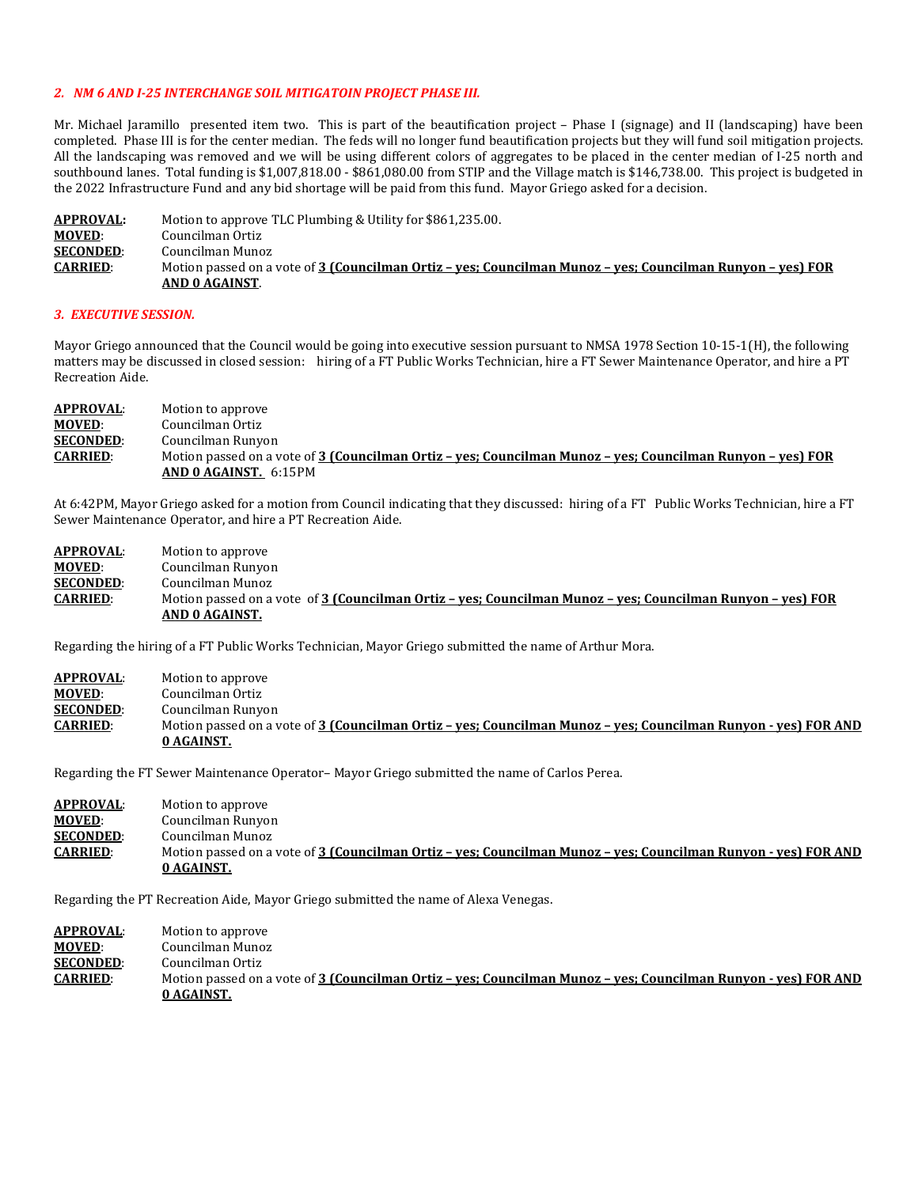#### *2. NM 6 AND I-25 INTERCHANGE SOIL MITIGATOIN PROJECT PHASE III.*

Mr. Michael Jaramillo presented item two. This is part of the beautification project – Phase I (signage) and II (landscaping) have been completed. Phase III is for the center median. The feds will no longer fund beautification projects but they will fund soil mitigation projects. All the landscaping was removed and we will be using different colors of aggregates to be placed in the center median of I-25 north and southbound lanes. Total funding is \$1,007,818.00 - \$861,080.00 from STIP and the Village match is \$146,738.00. This project is budgeted in the 2022 Infrastructure Fund and any bid shortage will be paid from this fund. Mayor Griego asked for a decision.

| <b>APPROVAL:</b> | Motion to approve TLC Plumbing & Utility for \$861,235.00.                                                 |
|------------------|------------------------------------------------------------------------------------------------------------|
| <b>MOVED:</b>    | Councilman Ortiz                                                                                           |
| <b>SECONDED:</b> | Councilman Munoz                                                                                           |
| <b>CARRIED:</b>  | Motion passed on a vote of 3 (Councilman Ortiz - yes; Councilman Munoz - yes; Councilman Runyon - yes) FOR |
|                  | AND 0 AGAINST.                                                                                             |

#### *3. EXECUTIVE SESSION.*

Mayor Griego announced that the Council would be going into executive session pursuant to NMSA 1978 Section 10-15-1(H), the following matters may be discussed in closed session: hiring of a FT Public Works Technician, hire a FT Sewer Maintenance Operator, and hire a PT Recreation Aide.

| <b>APPROVAL:</b> | Motion to approve                                                                                          |
|------------------|------------------------------------------------------------------------------------------------------------|
| <b>MOVED:</b>    | Councilman Ortiz                                                                                           |
| <b>SECONDED:</b> | Councilman Runyon                                                                                          |
| <b>CARRIED:</b>  | Motion passed on a vote of 3 (Councilman Ortiz - yes; Councilman Munoz - yes; Councilman Runyon - yes) FOR |
|                  | AND 0 AGAINST. 6:15PM                                                                                      |

At 6:42PM, Mayor Griego asked for a motion from Council indicating that they discussed: hiring of a FT Public Works Technician, hire a FT Sewer Maintenance Operator, and hire a PT Recreation Aide.

| <b>APPROVAL:</b> | Motion to approve                                                                                          |
|------------------|------------------------------------------------------------------------------------------------------------|
| <b>MOVED:</b>    | Councilman Runyon                                                                                          |
| <b>SECONDED:</b> | Councilman Munoz                                                                                           |
| <b>CARRIED:</b>  | Motion passed on a vote of 3 (Councilman Ortiz – ves: Councilman Munoz – ves: Councilman Runyon – ves) FOR |
|                  | AND 0 AGAINST.                                                                                             |

Regarding the hiring of a FT Public Works Technician, Mayor Griego submitted the name of Arthur Mora.

| <b>APPROVAL:</b> | Motion to approve                                                                                              |
|------------------|----------------------------------------------------------------------------------------------------------------|
| <b>MOVED:</b>    | Councilman Ortiz                                                                                               |
| <b>SECONDED:</b> | Councilman Runyon                                                                                              |
| <b>CARRIED:</b>  | Motion passed on a vote of 3 (Councilman Ortiz - yes; Councilman Munoz - yes; Councilman Runyon - yes) FOR AND |
|                  | 0 AGAINST.                                                                                                     |

Regarding the FT Sewer Maintenance Operator– Mayor Griego submitted the name of Carlos Perea.

| APPROVAL:        | Motion to approve                                                                                              |
|------------------|----------------------------------------------------------------------------------------------------------------|
| <b>MOVED:</b>    | Councilman Runyon                                                                                              |
| <b>SECONDED:</b> | Councilman Munoz                                                                                               |
| <b>CARRIED:</b>  | Motion passed on a vote of 3 (Councilman Ortiz – yes; Councilman Munoz – yes; Councilman Runyon - yes) FOR AND |
|                  | 0 AGAINST.                                                                                                     |

Regarding the PT Recreation Aide, Mayor Griego submitted the name of Alexa Venegas.

**APPROVAL:** Motion to approve<br> **MOVED:** Councilman Munoz **MOVED:** Councilman Munoz<br>**SECONDED:** Councilman Ortiz **SECONDED:** Councilman Ortiz<br>**CARRIED:** Motion passed on Motion passed on a vote of **3 (Councilman Ortiz - yes; Councilman Munoz - yes; Councilman Runyon - yes) FOR AND 0 AGAINST.**